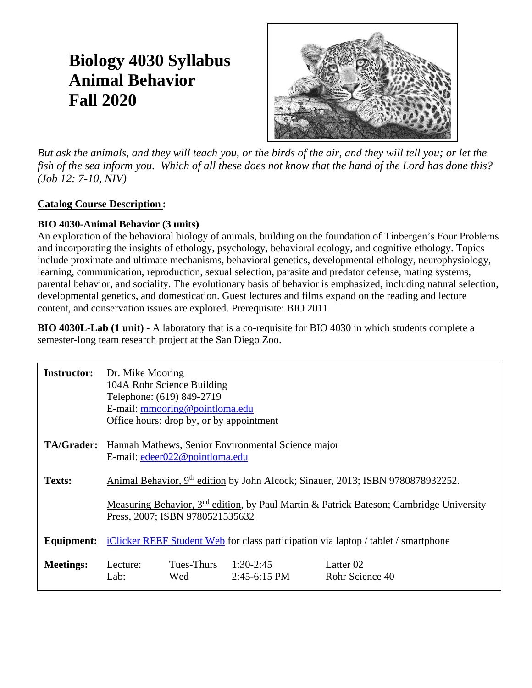## **Biology 4030 Syllabus Animal Behavior Fall 2020**



*But ask the animals, and they will teach you, or the birds of the air, and they will tell you; or let the fish of the sea inform you. Which of all these does not know that the hand of the Lord has done this? (Job 12: 7-10, NIV)*

### **Catalog Course Description :**

### **BIO 4030-Animal Behavior (3 units)**

An exploration of the behavioral biology of animals, building on the foundation of Tinbergen's Four Problems and incorporating the insights of ethology, psychology, behavioral ecology, and cognitive ethology. Topics include proximate and ultimate mechanisms, behavioral genetics, developmental ethology, neurophysiology, learning, communication, reproduction, sexual selection, parasite and predator defense, mating systems, parental behavior, and sociality. The evolutionary basis of behavior is emphasized, including natural selection, developmental genetics, and domestication. Guest lectures and films expand on the reading and lecture content, and conservation issues are explored. Prerequisite: BIO 2011

**BIO 4030L-Lab (1 unit)** - A laboratory that is a co-requisite for BIO 4030 in which students complete a semester-long team research project at the San Diego Zoo.

| <b>Instructor:</b> | Dr. Mike Mooring                                                                            | 104A Rohr Science Building<br>Telephone: (619) 849-2719<br>E-mail: mmooring@pointloma.edu<br>Office hours: drop by, or by appointment |                                                    |                                                                                                     |
|--------------------|---------------------------------------------------------------------------------------------|---------------------------------------------------------------------------------------------------------------------------------------|----------------------------------------------------|-----------------------------------------------------------------------------------------------------|
| <b>TA/Grader:</b>  |                                                                                             | E-mail: $edeer022@pointloma.edu$                                                                                                      | Hannah Mathews, Senior Environmental Science major |                                                                                                     |
| Texts:             | Animal Behavior, 9 <sup>th</sup> edition by John Alcock; Sinauer, 2013; ISBN 9780878932252. |                                                                                                                                       |                                                    |                                                                                                     |
|                    |                                                                                             | Press, 2007; ISBN 9780521535632                                                                                                       |                                                    | Measuring Behavior, 3 <sup>nd</sup> edition, by Paul Martin & Patrick Bateson; Cambridge University |
| <b>Equipment:</b>  |                                                                                             |                                                                                                                                       |                                                    | iClicker REEF Student Web for class participation via laptop / tablet / smartphone                  |
| <b>Meetings:</b>   | Lecture:<br>Lab:                                                                            | Tues-Thurs<br>Wed                                                                                                                     | 1:30-2:45<br>$2:45-6:15$ PM                        | Latter 02<br>Rohr Science 40                                                                        |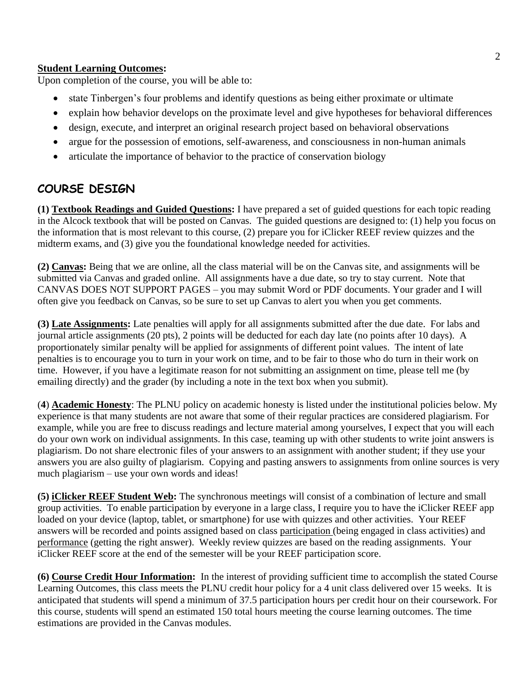#### **Student Learning Outcomes:**

Upon completion of the course, you will be able to:

- state Tinbergen's four problems and identify questions as being either proximate or ultimate
- explain how behavior develops on the proximate level and give hypotheses for behavioral differences
- design, execute, and interpret an original research project based on behavioral observations
- argue for the possession of emotions, self-awareness, and consciousness in non-human animals
- articulate the importance of behavior to the practice of conservation biology

## **COURSE DESIGN**

**(1) Textbook Readings and Guided Questions:** I have prepared a set of guided questions for each topic reading in the Alcock textbook that will be posted on Canvas. The guided questions are designed to: (1) help you focus on the information that is most relevant to this course, (2) prepare you for iClicker REEF review quizzes and the midterm exams, and (3) give you the foundational knowledge needed for activities.

**(2) Canvas:** Being that we are online, all the class material will be on the Canvas site, and assignments will be submitted via Canvas and graded online. All assignments have a due date, so try to stay current. Note that CANVAS DOES NOT SUPPORT PAGES – you may submit Word or PDF documents. Your grader and I will often give you feedback on Canvas, so be sure to set up Canvas to alert you when you get comments.

**(3) Late Assignments:** Late penalties will apply for all assignments submitted after the due date. For labs and journal article assignments (20 pts), 2 points will be deducted for each day late (no points after 10 days). A proportionately similar penalty will be applied for assignments of different point values. The intent of late penalties is to encourage you to turn in your work on time, and to be fair to those who do turn in their work on time. However, if you have a legitimate reason for not submitting an assignment on time, please tell me (by emailing directly) and the grader (by including a note in the text box when you submit).

(**4**) **Academic Honesty**: The PLNU policy on academic honesty is listed under the institutional policies below. My experience is that many students are not aware that some of their regular practices are considered plagiarism. For example, while you are free to discuss readings and lecture material among yourselves, I expect that you will each do your own work on individual assignments. In this case, teaming up with other students to write joint answers is plagiarism. Do not share electronic files of your answers to an assignment with another student; if they use your answers you are also guilty of plagiarism. Copying and pasting answers to assignments from online sources is very much plagiarism – use your own words and ideas!

**(5) iClicker REEF Student Web:** The synchronous meetings will consist of a combination of lecture and small group activities. To enable participation by everyone in a large class, I require you to have the iClicker REEF app loaded on your device (laptop, tablet, or smartphone) for use with quizzes and other activities. Your REEF answers will be recorded and points assigned based on class participation (being engaged in class activities) and performance (getting the right answer). Weekly review quizzes are based on the reading assignments. Your iClicker REEF score at the end of the semester will be your REEF participation score.

**(6) Course Credit Hour Information:** In the interest of providing sufficient time to accomplish the stated Course Learning Outcomes, this class meets the PLNU credit hour policy for a 4 unit class delivered over 15 weeks. It is anticipated that students will spend a minimum of 37.5 participation hours per credit hour on their coursework. For this course, students will spend an estimated 150 total hours meeting the course learning outcomes. The time estimations are provided in the Canvas modules.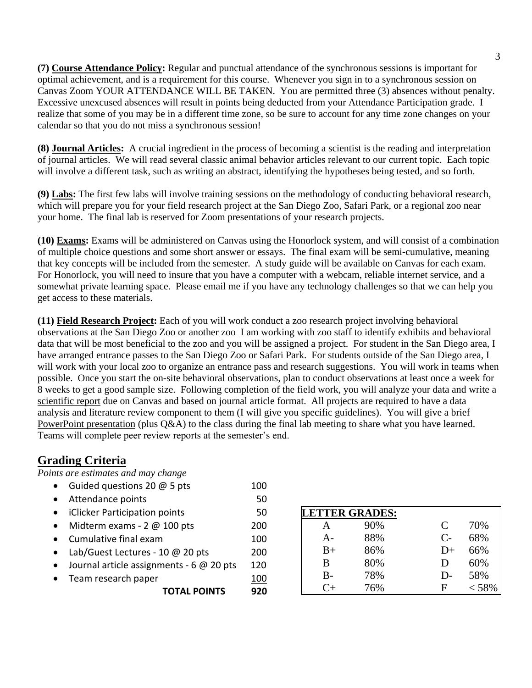**(7) Course Attendance Policy:** Regular and punctual attendance of the synchronous sessions is important for optimal achievement, and is a requirement for this course. Whenever you sign in to a synchronous session on Canvas Zoom YOUR ATTENDANCE WILL BE TAKEN. You are permitted three (3) absences without penalty. Excessive unexcused absences will result in points being deducted from your Attendance Participation grade. I realize that some of you may be in a different time zone, so be sure to account for any time zone changes on your calendar so that you do not miss a synchronous session!

**(8) Journal Articles:** A crucial ingredient in the process of becoming a scientist is the reading and interpretation of journal articles. We will read several classic animal behavior articles relevant to our current topic. Each topic will involve a different task, such as writing an abstract, identifying the hypotheses being tested, and so forth.

**(9) Labs:** The first few labs will involve training sessions on the methodology of conducting behavioral research, which will prepare you for your field research project at the San Diego Zoo, Safari Park, or a regional zoo near your home. The final lab is reserved for Zoom presentations of your research projects.

**(10) Exams:** Exams will be administered on Canvas using the Honorlock system, and will consist of a combination of multiple choice questions and some short answer or essays. The final exam will be semi-cumulative, meaning that key concepts will be included from the semester. A study guide will be available on Canvas for each exam. For Honorlock, you will need to insure that you have a computer with a webcam, reliable internet service, and a somewhat private learning space. Please email me if you have any technology challenges so that we can help you get access to these materials.

**(11) Field Research Project:** Each of you will work conduct a zoo research project involving behavioral observations at the San Diego Zoo or another zoo I am working with zoo staff to identify exhibits and behavioral data that will be most beneficial to the zoo and you will be assigned a project. For student in the San Diego area, I have arranged entrance passes to the San Diego Zoo or Safari Park. For students outside of the San Diego area, I will work with your local zoo to organize an entrance pass and research suggestions. You will work in teams when possible. Once you start the on-site behavioral observations, plan to conduct observations at least once a week for 8 weeks to get a good sample size. Following completion of the field work, you will analyze your data and write a scientific report due on Canvas and based on journal article format. All projects are required to have a data analysis and literature review component to them (I will give you specific guidelines). You will give a brief PowerPoint presentation (plus Q&A) to the class during the final lab meeting to share what you have learned. Teams will complete peer review reports at the semester's end.

## **Grading Criteria**

*Points are estimates and may change*

• Guided questions 20 @ 5 pts 100 • Attendance points 50 • iClicker Participation points 50  $\bullet$  Midterm exams - 2  $\omega$  100 pts 200 • Cumulative final exam 100 • Lab/Guest Lectures - 10 @ 20 pts 200 • Journal article assignments - 6 @ 20 pts 120 • Team research paper 100 **TOTAL POINTS 920**

| <b>LETTER GRADES:</b> |     |      |       |  |
|-----------------------|-----|------|-------|--|
|                       | 90% | C    | 70%   |  |
| $A -$                 | 88% | $C-$ | 68%   |  |
| $B+$                  | 86% | $D+$ | 66%   |  |
| B                     | 80% | Ð    | 60%   |  |
| $B-$                  | 78% | D-   | 58%   |  |
| $C_{+}$               | 76% | F    | < 58% |  |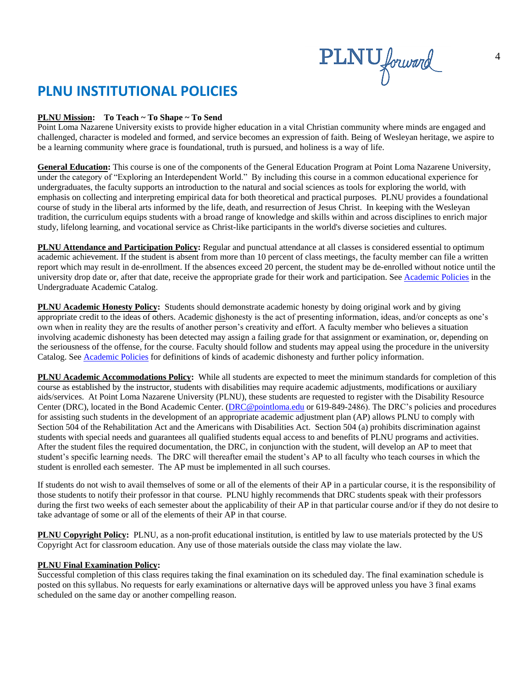PLNU forward

## **PLNU INSTITUTIONAL POLICIES**

#### **PLNU Mission: To Teach ~ To Shape ~ To Send**

Point Loma Nazarene University exists to provide higher education in a vital Christian community where minds are engaged and challenged, character is modeled and formed, and service becomes an expression of faith. Being of Wesleyan heritage, we aspire to be a learning community where grace is foundational, truth is pursued, and holiness is a way of life.

**General Education:** This course is one of the components of the General Education Program at Point Loma Nazarene University, under the category of "Exploring an Interdependent World." By including this course in a common educational experience for undergraduates, the faculty supports an introduction to the natural and social sciences as tools for exploring the world, with emphasis on collecting and interpreting empirical data for both theoretical and practical purposes. PLNU provides a foundational course of study in the liberal arts informed by the life, death, and resurrection of Jesus Christ. In keeping with the Wesleyan tradition, the curriculum equips students with a broad range of knowledge and skills within and across disciplines to enrich major study, lifelong learning, and vocational service as Christ-like participants in the world's diverse societies and cultures.

**PLNU Attendance and Participation Policy:** Regular and punctual attendance at all classes is considered essential to optimum academic achievement. If the student is absent from more than 10 percent of class meetings, the faculty member can file a written report which may result in de-enrollment. If the absences exceed 20 percent, the student may be de-enrolled without notice until the university drop date or, after that date, receive the appropriate grade for their work and participation. See [Academic Policies](http://catalog.pointloma.edu/content.php?catoid=18&navoid=1278) in the Undergraduate Academic Catalog.

**PLNU Academic Honesty Policy:** Students should demonstrate academic honesty by doing original work and by giving appropriate credit to the ideas of others. Academic dishonesty is the act of presenting information, ideas, and/or concepts as one's own when in reality they are the results of another person's creativity and effort. A faculty member who believes a situation involving academic dishonesty has been detected may assign a failing grade for that assignment or examination, or, depending on the seriousness of the offense, for the course. Faculty should follow and students may appeal using the procedure in the university Catalog. See [Academic Policies](http://catalog.pointloma.edu/content.php?catoid=18&navoid=1278) for definitions of kinds of academic dishonesty and further policy information.

**PLNU Academic Accommodations Policy:** While all students are expected to meet the minimum standards for completion of this course as established by the instructor, students with disabilities may require academic adjustments, modifications or auxiliary aids/services. At Point Loma Nazarene University (PLNU), these students are requested to register with the Disability Resource Center (DRC), located in the Bond Academic Center. [\(DRC@pointloma.edu](mailto:DRC@pointloma.edu) or 619-849-2486). The DRC's policies and procedures for assisting such students in the development of an appropriate academic adjustment plan (AP) allows PLNU to comply with Section 504 of the Rehabilitation Act and the Americans with Disabilities Act. Section 504 (a) prohibits discrimination against students with special needs and guarantees all qualified students equal access to and benefits of PLNU programs and activities. After the student files the required documentation, the DRC, in conjunction with the student, will develop an AP to meet that student's specific learning needs. The DRC will thereafter email the student's AP to all faculty who teach courses in which the student is enrolled each semester. The AP must be implemented in all such courses.

If students do not wish to avail themselves of some or all of the elements of their AP in a particular course, it is the responsibility of those students to notify their professor in that course. PLNU highly recommends that DRC students speak with their professors during the first two weeks of each semester about the applicability of their AP in that particular course and/or if they do not desire to take advantage of some or all of the elements of their AP in that course.

**PLNU Copyright Policy:** PLNU, as a non-profit educational institution, is entitled by law to use materials protected by the US Copyright Act for classroom education. Any use of those materials outside the class may violate the law.

#### **PLNU Final Examination Policy:**

Successful completion of this class requires taking the final examination on its scheduled day. The final examination schedule is posted on this syllabus. No requests for early examinations or alternative days will be approved unless you have 3 final exams scheduled on the same day or another compelling reason.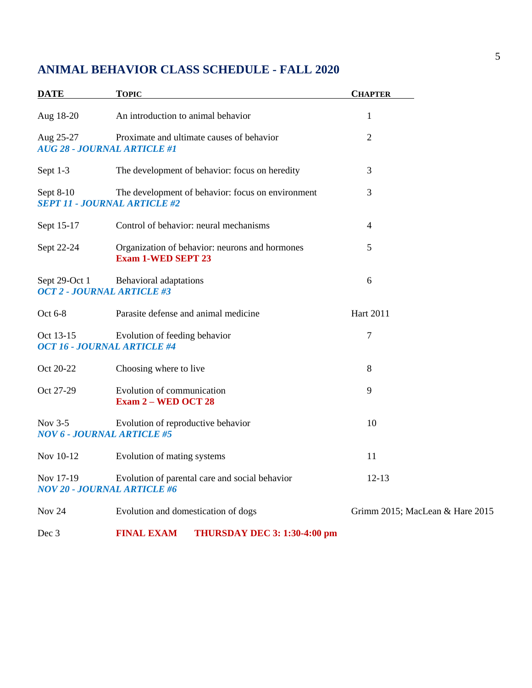## **ANIMAL BEHAVIOR CLASS SCHEDULE - FALL 2020**

| <b>DATE</b>                                        | <b>TOPIC</b>                                                                | <b>CHAPTER</b>                  |
|----------------------------------------------------|-----------------------------------------------------------------------------|---------------------------------|
| Aug 18-20                                          | An introduction to animal behavior                                          | $\mathbf{1}$                    |
| Aug 25-27<br><b>AUG 28 - JOURNAL ARTICLE #1</b>    | Proximate and ultimate causes of behavior                                   | $\overline{2}$                  |
| Sept 1-3                                           | The development of behavior: focus on heredity                              | 3                               |
| Sept 8-10<br><b>SEPT 11 - JOURNAL ARTICLE #2</b>   | The development of behavior: focus on environment                           | 3                               |
| Sept 15-17                                         | Control of behavior: neural mechanisms                                      | $\overline{4}$                  |
| Sept 22-24                                         | Organization of behavior: neurons and hormones<br><b>Exam 1-WED SEPT 23</b> | 5                               |
| Sept 29-Oct 1<br><b>OCT 2 - JOURNAL ARTICLE #3</b> | Behavioral adaptations                                                      | 6                               |
| Oct 6-8                                            | Parasite defense and animal medicine                                        | Hart 2011                       |
| Oct 13-15<br><b>OCT 16 - JOURNAL ARTICLE #4</b>    | Evolution of feeding behavior                                               | 7                               |
| Oct 20-22                                          | Choosing where to live                                                      | 8                               |
| Oct 27-29                                          | Evolution of communication<br><b>Exam 2 – WED OCT 28</b>                    | 9                               |
| Nov 3-5<br><b>NOV 6 - JOURNAL ARTICLE #5</b>       | Evolution of reproductive behavior                                          | 10                              |
| Nov 10-12                                          | Evolution of mating systems                                                 | 11                              |
| Nov 17-19<br><b>NOV 20 - JOURNAL ARTICLE #6</b>    | Evolution of parental care and social behavior                              | $12 - 13$                       |
| Nov 24                                             | Evolution and domestication of dogs                                         | Grimm 2015; MacLean & Hare 2015 |

Dec 3 **FINAL EXAM THURSDAY DEC 3: 1:30-4:00 pm**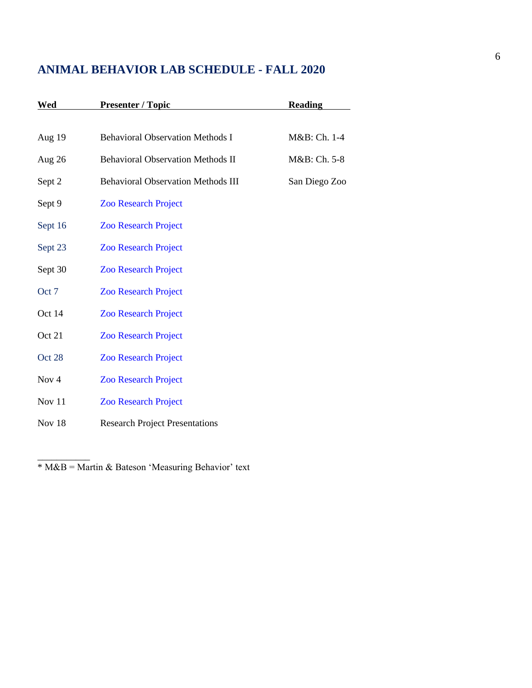## **ANIMAL BEHAVIOR LAB SCHEDULE - FALL 2020**

| Wed              | <b>Presenter / Topic</b>                  | <b>Reading</b> |
|------------------|-------------------------------------------|----------------|
|                  |                                           |                |
| Aug 19           | <b>Behavioral Observation Methods I</b>   | M&B: Ch. 1-4   |
| Aug $26$         | <b>Behavioral Observation Methods II</b>  | M&B: Ch. 5-8   |
| Sept 2           | <b>Behavioral Observation Methods III</b> | San Diego Zoo  |
| Sept 9           | <b>Zoo Research Project</b>               |                |
| Sept 16          | <b>Zoo Research Project</b>               |                |
| Sept 23          | <b>Zoo Research Project</b>               |                |
| Sept 30          | <b>Zoo Research Project</b>               |                |
| Oct 7            | <b>Zoo Research Project</b>               |                |
| Oct 14           | <b>Zoo Research Project</b>               |                |
| Oct 21           | <b>Zoo Research Project</b>               |                |
| Oct 28           | <b>Zoo Research Project</b>               |                |
| Nov <sub>4</sub> | <b>Zoo Research Project</b>               |                |
| Nov 11           | <b>Zoo Research Project</b>               |                |
| Nov 18           | <b>Research Project Presentations</b>     |                |

\* M&B = Martin & Bateson 'Measuring Behavior' text

\_\_\_\_\_\_\_\_\_\_\_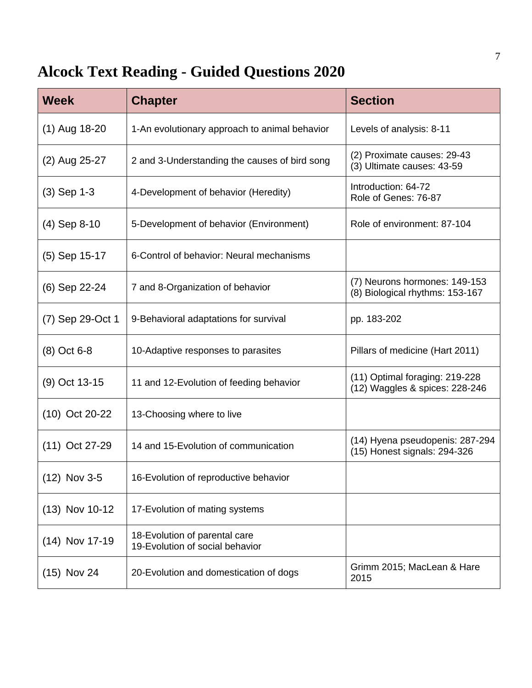## **Alcock Text Reading - Guided Questions 2020**

| <b>Week</b>      | <b>Chapter</b>                                                   | <b>Section</b>                                                   |
|------------------|------------------------------------------------------------------|------------------------------------------------------------------|
| $(1)$ Aug 18-20  | 1-An evolutionary approach to animal behavior                    | Levels of analysis: 8-11                                         |
| (2) Aug 25-27    | 2 and 3-Understanding the causes of bird song                    | (2) Proximate causes: 29-43<br>(3) Ultimate causes: 43-59        |
| $(3)$ Sep 1-3    | 4-Development of behavior (Heredity)                             | Introduction: 64-72<br>Role of Genes: 76-87                      |
| $(4)$ Sep 8-10   | 5-Development of behavior (Environment)                          | Role of environment: 87-104                                      |
| $(5)$ Sep 15-17  | 6-Control of behavior: Neural mechanisms                         |                                                                  |
| (6) Sep 22-24    | 7 and 8-Organization of behavior                                 | (7) Neurons hormones: 149-153<br>(8) Biological rhythms: 153-167 |
| (7) Sep 29-Oct 1 | 9-Behavioral adaptations for survival                            | pp. 183-202                                                      |
| $(8)$ Oct 6-8    | 10-Adaptive responses to parasites                               | Pillars of medicine (Hart 2011)                                  |
| (9) Oct 13-15    | 11 and 12-Evolution of feeding behavior                          | (11) Optimal foraging: 219-228<br>(12) Waggles & spices: 228-246 |
| $(10)$ Oct 20-22 | 13-Choosing where to live                                        |                                                                  |
| $(11)$ Oct 27-29 | 14 and 15-Evolution of communication                             | (14) Hyena pseudopenis: 287-294<br>(15) Honest signals: 294-326  |
| $(12)$ Nov 3-5   | 16-Evolution of reproductive behavior                            |                                                                  |
| (13) Nov 10-12   | 17-Evolution of mating systems                                   |                                                                  |
| $(14)$ Nov 17-19 | 18-Evolution of parental care<br>19-Evolution of social behavior |                                                                  |
| $(15)$ Nov 24    | 20-Evolution and domestication of dogs                           | Grimm 2015; MacLean & Hare<br>2015                               |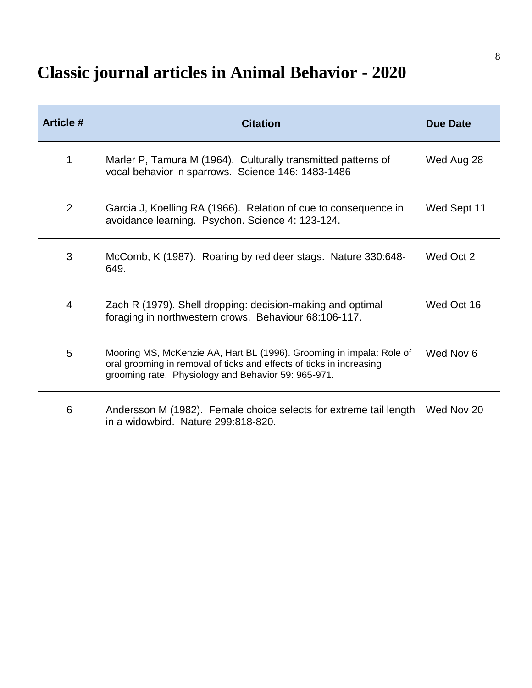# **Classic journal articles in Animal Behavior - 2020**

| <b>Article #</b> | <b>Citation</b>                                                                                                                                                                                     | <b>Due Date</b> |
|------------------|-----------------------------------------------------------------------------------------------------------------------------------------------------------------------------------------------------|-----------------|
| 1                | Marler P, Tamura M (1964). Culturally transmitted patterns of<br>vocal behavior in sparrows. Science 146: 1483-1486                                                                                 | Wed Aug 28      |
| 2                | Garcia J, Koelling RA (1966). Relation of cue to consequence in<br>avoidance learning. Psychon. Science 4: 123-124.                                                                                 | Wed Sept 11     |
| 3                | McComb, K (1987). Roaring by red deer stags. Nature 330:648-<br>649.                                                                                                                                | Wed Oct 2       |
| 4                | Zach R (1979). Shell dropping: decision-making and optimal<br>foraging in northwestern crows. Behaviour 68:106-117.                                                                                 | Wed Oct 16      |
| 5                | Mooring MS, McKenzie AA, Hart BL (1996). Grooming in impala: Role of<br>oral grooming in removal of ticks and effects of ticks in increasing<br>grooming rate. Physiology and Behavior 59: 965-971. | Wed Nov 6       |
| 6                | Andersson M (1982). Female choice selects for extreme tail length<br>in a widowbird. Nature 299:818-820.                                                                                            | Wed Nov 20      |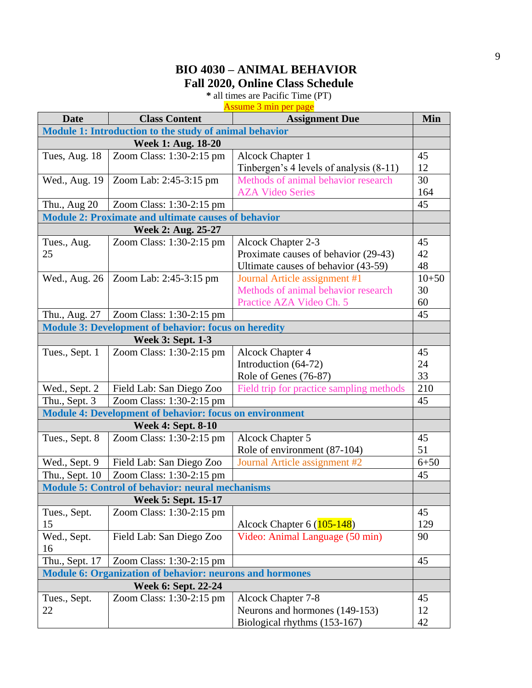## **BIO 4030 – ANIMAL BEHAVIOR Fall 2020, Online Class Schedule**

**\*** all times are Pacific Time (PT)

Assume 3 min per page

| <b>Date</b>                                                     | <b>Class Content</b>                                        | <b>Assignment Due</b>                    | Min       |  |
|-----------------------------------------------------------------|-------------------------------------------------------------|------------------------------------------|-----------|--|
| Module 1: Introduction to the study of animal behavior          |                                                             |                                          |           |  |
| Week 1: Aug. 18-20                                              |                                                             |                                          |           |  |
| Tues, Aug. 18                                                   | Zoom Class: 1:30-2:15 pm                                    | Alcock Chapter 1                         | 45        |  |
|                                                                 |                                                             | Tinbergen's 4 levels of analysis (8-11)  | 12        |  |
| Wed., Aug. 19                                                   | Zoom Lab: 2:45-3:15 pm                                      | Methods of animal behavior research      | 30        |  |
|                                                                 |                                                             | <b>AZA Video Series</b>                  | 164       |  |
| Thu., Aug 20                                                    | Zoom Class: 1:30-2:15 pm                                    |                                          | 45        |  |
|                                                                 | <b>Module 2: Proximate and ultimate causes of behavior</b>  |                                          |           |  |
|                                                                 | Week 2: Aug. 25-27                                          |                                          |           |  |
| Tues., Aug.                                                     | Zoom Class: 1:30-2:15 pm                                    | Alcock Chapter 2-3                       | 45        |  |
| 25                                                              |                                                             | Proximate causes of behavior (29-43)     | 42        |  |
|                                                                 |                                                             | Ultimate causes of behavior (43-59)      | 48        |  |
| Wed., Aug. 26                                                   | Zoom Lab: 2:45-3:15 pm                                      | Journal Article assignment #1            | $10 + 50$ |  |
|                                                                 |                                                             | Methods of animal behavior research      | 30        |  |
|                                                                 |                                                             | Practice AZA Video Ch. 5                 | 60        |  |
| Thu., Aug. 27                                                   | Zoom Class: 1:30-2:15 pm                                    |                                          | 45        |  |
|                                                                 | <b>Module 3: Development of behavior: focus on heredity</b> |                                          |           |  |
|                                                                 | <b>Week 3: Sept. 1-3</b>                                    |                                          |           |  |
| Tues., Sept. 1                                                  | Zoom Class: 1:30-2:15 pm                                    | <b>Alcock Chapter 4</b>                  | 45        |  |
|                                                                 |                                                             | Introduction (64-72)                     | 24        |  |
|                                                                 |                                                             | Role of Genes (76-87)                    | 33        |  |
| Wed., Sept. 2                                                   | Field Lab: San Diego Zoo                                    | Field trip for practice sampling methods | 210       |  |
| Thu., Sept. 3                                                   | Zoom Class: 1:30-2:15 pm                                    |                                          | 45        |  |
| <b>Module 4: Development of behavior: focus on environment</b>  |                                                             |                                          |           |  |
|                                                                 | <b>Week 4: Sept. 8-10</b>                                   |                                          |           |  |
| Tues., Sept. 8                                                  | Zoom Class: 1:30-2:15 pm                                    | <b>Alcock Chapter 5</b>                  | 45        |  |
|                                                                 |                                                             | Role of environment (87-104)             | 51        |  |
| Wed., Sept. 9                                                   | Field Lab: San Diego Zoo                                    | Journal Article assignment #2            | $6 + 50$  |  |
| Thu., Sept. 10                                                  | Zoom Class: 1:30-2:15 pm                                    |                                          | 45        |  |
|                                                                 | <b>Module 5: Control of behavior: neural mechanisms</b>     |                                          |           |  |
|                                                                 | <b>Week 5: Sept. 15-17</b>                                  |                                          |           |  |
| Tues., Sept.                                                    | Zoom Class: 1:30-2:15 pm                                    |                                          | 45        |  |
| 15                                                              |                                                             | Alcock Chapter $6(105-148)$              | 129       |  |
| Wed., Sept.                                                     | Field Lab: San Diego Zoo                                    | Video: Animal Language (50 min)          | 90        |  |
| 16                                                              |                                                             |                                          |           |  |
| Thu., Sept. 17                                                  | Zoom Class: 1:30-2:15 pm                                    |                                          | 45        |  |
| <b>Module 6: Organization of behavior: neurons and hormones</b> |                                                             |                                          |           |  |
|                                                                 | Week 6: Sept. 22-24                                         |                                          |           |  |
| Tues., Sept.                                                    | Zoom Class: 1:30-2:15 pm                                    | Alcock Chapter 7-8                       | 45        |  |
| 22                                                              |                                                             | Neurons and hormones (149-153)           | 12        |  |
|                                                                 |                                                             | Biological rhythms (153-167)             | 42        |  |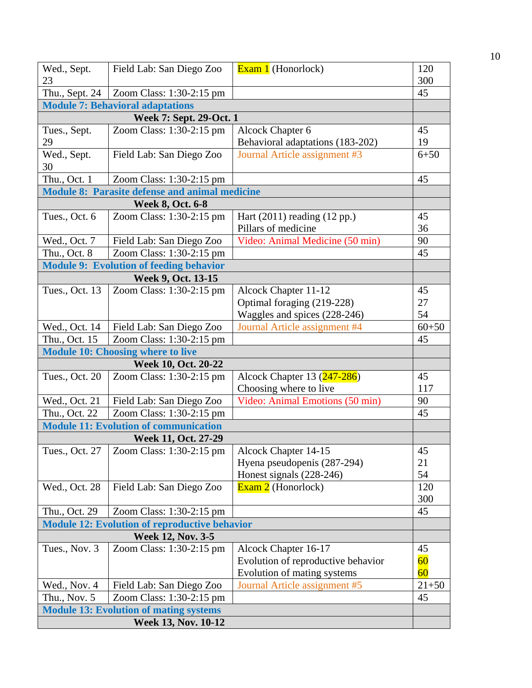| Wed., Sept.                                                          | Field Lab: San Diego Zoo                              | Exam 1 (Honorlock)                                                | 120       |  |
|----------------------------------------------------------------------|-------------------------------------------------------|-------------------------------------------------------------------|-----------|--|
| 23                                                                   |                                                       |                                                                   | 300       |  |
| Thu., Sept. 24                                                       | Zoom Class: 1:30-2:15 pm                              |                                                                   | 45        |  |
|                                                                      | <b>Module 7: Behavioral adaptations</b>               |                                                                   |           |  |
|                                                                      | <b>Week 7: Sept. 29-Oct. 1</b>                        |                                                                   |           |  |
| Tues., Sept.                                                         | Zoom Class: 1:30-2:15 pm                              | Alcock Chapter 6                                                  | 45        |  |
| 29                                                                   |                                                       | Behavioral adaptations (183-202)                                  | 19        |  |
| Wed., Sept.                                                          | Field Lab: San Diego Zoo                              | Journal Article assignment #3                                     | $6 + 50$  |  |
| 30                                                                   |                                                       |                                                                   |           |  |
| Thu., Oct. 1                                                         | Zoom Class: 1:30-2:15 pm                              |                                                                   | 45        |  |
|                                                                      | <b>Module 8: Parasite defense and animal medicine</b> |                                                                   |           |  |
|                                                                      | <b>Week 8, Oct. 6-8</b>                               |                                                                   |           |  |
| Tues., Oct. 6                                                        | Zoom Class: 1:30-2:15 pm                              | Hart $(2011)$ reading $(12 \text{ pp.})$<br>Pillars of medicine   | 45<br>36  |  |
| Wed., Oct. 7                                                         | Field Lab: San Diego Zoo                              | Video: Animal Medicine (50 min)                                   | 90        |  |
| Thu., Oct. 8                                                         | Zoom Class: 1:30-2:15 pm                              |                                                                   | 45        |  |
|                                                                      | <b>Module 9: Evolution of feeding behavior</b>        |                                                                   |           |  |
|                                                                      | Week 9, Oct. 13-15                                    |                                                                   |           |  |
| Tues., Oct. 13                                                       | Zoom Class: 1:30-2:15 pm                              | Alcock Chapter 11-12                                              | 45        |  |
|                                                                      |                                                       | Optimal foraging (219-228)                                        | 27        |  |
|                                                                      |                                                       | Waggles and spices (228-246)                                      | 54        |  |
| Wed., Oct. 14                                                        | Field Lab: San Diego Zoo                              | Journal Article assignment #4                                     | $60 + 50$ |  |
| Thu., Oct. 15                                                        | Zoom Class: 1:30-2:15 pm                              |                                                                   | 45        |  |
|                                                                      | <b>Module 10: Choosing where to live</b>              |                                                                   |           |  |
| Week 10, Oct. 20-22                                                  |                                                       |                                                                   |           |  |
| Tues., Oct. 20                                                       | Zoom Class: 1:30-2:15 pm                              | Alcock Chapter 13 $(247-286)$                                     | 45        |  |
|                                                                      |                                                       | Choosing where to live                                            | 117       |  |
| Wed., Oct. 21                                                        | Field Lab: San Diego Zoo                              | Video: Animal Emotions (50 min)                                   | 90        |  |
| Thu., Oct. 22                                                        | Zoom Class: 1:30-2:15 pm                              |                                                                   | 45        |  |
| <b>Module 11: Evolution of communication</b>                         |                                                       |                                                                   |           |  |
|                                                                      | Week 11, Oct. 27-29                                   |                                                                   |           |  |
|                                                                      | Tues., Oct. 27   Zoom Class: 1:30-2:15 pm             | Alcock Chapter 14-15                                              | 45        |  |
|                                                                      |                                                       | Hyena pseudopenis (287-294)                                       | 21        |  |
|                                                                      |                                                       | Honest signals (228-246)                                          | 54        |  |
| Wed., Oct. 28                                                        | Field Lab: San Diego Zoo                              | $\overline{\text{Exam 2}}$ (Honorlock)                            | 120       |  |
|                                                                      |                                                       |                                                                   | 300       |  |
| Thu., Oct. 29                                                        | Zoom Class: 1:30-2:15 pm                              |                                                                   | 45        |  |
|                                                                      | <b>Module 12: Evolution of reproductive behavior</b>  |                                                                   |           |  |
|                                                                      | <b>Week 12, Nov. 3-5</b>                              |                                                                   |           |  |
| Tues., Nov. 3                                                        | Zoom Class: 1:30-2:15 pm                              | Alcock Chapter 16-17                                              | 45<br>60  |  |
|                                                                      |                                                       | Evolution of reproductive behavior<br>Evolution of mating systems | 60        |  |
| Wed., Nov. 4                                                         | Field Lab: San Diego Zoo                              | Journal Article assignment #5                                     | $21 + 50$ |  |
| Thu., Nov. 5                                                         | Zoom Class: 1:30-2:15 pm                              |                                                                   | 45        |  |
|                                                                      |                                                       |                                                                   |           |  |
| <b>Module 13: Evolution of mating systems</b><br>Week 13, Nov. 10-12 |                                                       |                                                                   |           |  |
|                                                                      |                                                       |                                                                   |           |  |